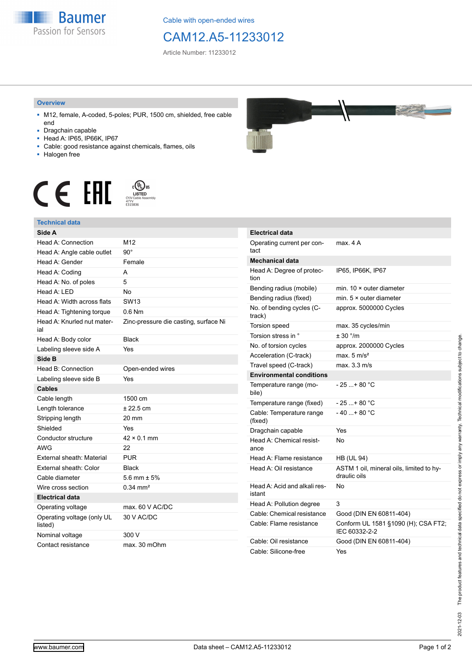

Cable with open-ended wires

## CAM12.A5-11233012

Article Number: 11233012

## **Overview**

- M12, female, A-coded, 5-poles; PUR, 1500 cm, shielded, free cable end
- Dragchain capable
- Head A: IP65, IP66K, IP67
- Cable: good resistance against chemicals, flames, oils
- Halogen free





## **Technical data**

| Side A                                |                                       |
|---------------------------------------|---------------------------------------|
| Head A: Connection                    | M12                                   |
| Head A: Angle cable outlet            | $90^{\circ}$                          |
| Head A: Gender                        | Female                                |
| Head A: Coding                        | A                                     |
| Head A: No. of poles                  | 5                                     |
| Head A: LED                           | <b>No</b>                             |
| Head A: Width across flats            | <b>SW13</b>                           |
| Head A: Tightening torque             | $0.6$ Nm                              |
| Head A: Knurled nut mater-<br>ial     | Zinc-pressure die casting, surface Ni |
| Head A: Body color                    | <b>Black</b>                          |
| Labeling sleeve side A                | Yes                                   |
| Side B                                |                                       |
| Head B: Connection                    | Open-ended wires                      |
| Labeling sleeve side B                | Yes                                   |
| <b>Cables</b>                         |                                       |
| Cable length                          | 1500 cm                               |
| Length tolerance                      | ± 22.5 cm                             |
| Stripping length                      | 20 mm                                 |
| Shielded                              | Yes                                   |
| Conductor structure                   | $42 \times 0.1$ mm                    |
| <b>AWG</b>                            | 22                                    |
| External sheath: Material             | <b>PUR</b>                            |
| External sheath: Color                | <b>Black</b>                          |
| Cable diameter                        | 5.6 mm $\pm$ 5%                       |
| Wire cross section                    | $0.34 \, \text{mm}^2$                 |
| <b>Electrical data</b>                |                                       |
| Operating voltage                     | max. 60 V AC/DC                       |
| Operating voltage (only UL<br>listed) | 30 V AC/DC                            |
| Nominal voltage                       | 300 V                                 |
| Contact resistance                    | max. 30 mOhm                          |



| <b>Electrical data</b>                 |                                                          |
|----------------------------------------|----------------------------------------------------------|
| Operating current per con-<br>tact     | max. 4 A                                                 |
| Mechanical data                        |                                                          |
| Head A: Degree of protec-<br>tion      | IP65, IP66K, IP67                                        |
| Bending radius (mobile)                | min. $10 \times$ outer diameter                          |
| Bending radius (fixed)                 | min. $5 \times$ outer diameter                           |
| No. of bending cycles (C-<br>track)    | approx. 5000000 Cycles                                   |
| Torsion speed                          | max. 35 cycles/min                                       |
| Torsion stress in °                    | ± 30 °/m                                                 |
| No. of torsion cycles                  | approx. 2000000 Cycles                                   |
| Acceleration (C-track)                 | max. $5 \text{ m/s}^2$                                   |
| Travel speed (C-track)                 | max. 3.3 m/s                                             |
| <b>Environmental conditions</b>        |                                                          |
| Temperature range (mo-<br>bile)        | - 25 + 80 °C                                             |
| Temperature range (fixed)              | - 25 + 80 °C                                             |
| Cable: Temperature range<br>(fixed)    | - 40 + 80 °C                                             |
| Dragchain capable                      | Yes                                                      |
| Head A: Chemical resist-<br>ance       | No                                                       |
| Head A: Flame resistance               | <b>HB (UL 94)</b>                                        |
| Head A: Oil resistance                 | ASTM 1 oil, mineral oils, limited to hy-<br>draulic oils |
| Head A: Acid and alkali res-<br>istant | N٥                                                       |
| Head A: Pollution degree               | 3                                                        |
| Cable: Chemical resistance             | Good (DIN EN 60811-404)                                  |
| Cable: Flame resistance                | Conform UL 1581 §1090 (H); CSA FT2;<br>IEC 60332-2-2     |
| Cable: Oil resistance                  | Good (DIN EN 60811-404)                                  |
| Cable: Silicone-free                   | Yes                                                      |